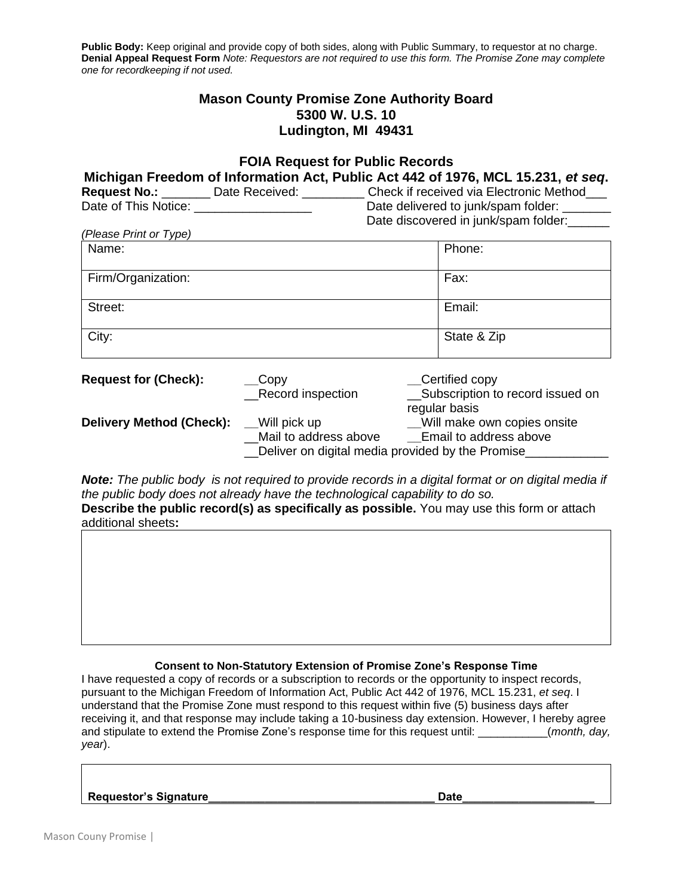**Public Body:** Keep original and provide copy of both sides, along with Public Summary, to requestor at no charge. **Denial Appeal Request Form** *Note: Requestors are not required to use this form. The Promise Zone may complete one for recordkeeping if not used.*

# **Mason County Promise Zone Authority Board 5300 W. U.S. 10 Ludington, MI 49431**

## **FOIA Request for Public Records Michigan Freedom of Information Act, Public Act 442 of 1976, MCL 15.231,** *et seq***. Request No.:** \_\_\_\_\_\_\_\_ Date Received: \_\_\_\_\_\_\_\_\_\_ Check if received via Electronic Method\_\_\_ Date of This Notice: \_\_\_\_\_\_\_\_\_\_\_\_\_\_\_\_\_\_\_\_\_\_\_\_ Date delivered to junk/spam folder: Date discovered in junk/spam folder: *(Please Print or Type)*

| Name:              | Phone:      |
|--------------------|-------------|
| Firm/Organization: | Fax:        |
| Street:            | Email:      |
| City:              | State & Zip |

| <b>Request for (Check):</b>     | $\_\$ {Copy}                                     | Certified copy                     |
|---------------------------------|--------------------------------------------------|------------------------------------|
|                                 | <b>Record inspection</b>                         | __Subscription to record issued on |
|                                 |                                                  | regular basis                      |
| <b>Delivery Method (Check):</b> | Will pick up                                     | Will make own copies onsite        |
|                                 | Mail to address above                            | Email to address above             |
|                                 | Deliver on digital media provided by the Promise |                                    |

*Note: The public body is not required to provide records in a digital format or on digital media if the public body does not already have the technological capability to do so.* **Describe the public record(s) as specifically as possible.** You may use this form or attach

additional sheets**:**

### **Consent to Non-Statutory Extension of Promise Zone's Response Time**

I have requested a copy of records or a subscription to records or the opportunity to inspect records, pursuant to the Michigan Freedom of Information Act, Public Act 442 of 1976, MCL 15.231, *et seq*. I understand that the Promise Zone must respond to this request within five (5) business days after receiving it, and that response may include taking a 10-business day extension. However, I hereby agree and stipulate to extend the Promise Zone's response time for this request until: \_\_\_\_\_\_\_\_\_\_\_(*month, day, year*).

## **Requestor's Signature\_\_\_\_\_\_\_\_\_\_\_\_\_\_\_\_\_\_\_\_\_\_\_\_\_\_\_\_\_\_\_\_\_\_\_\_ Date\_\_\_\_\_\_\_\_\_\_\_\_\_\_\_\_\_\_\_\_\_**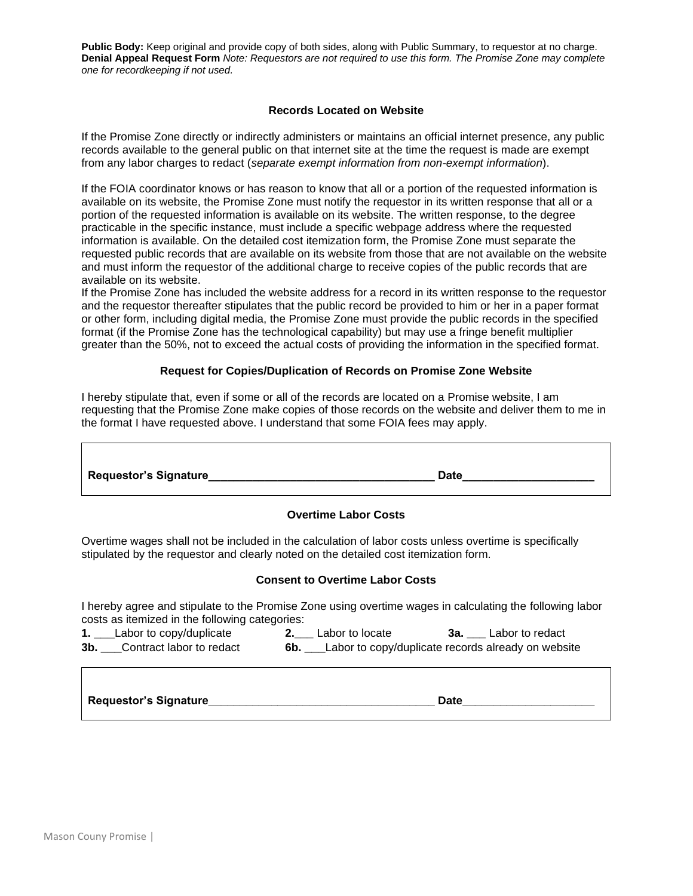**Public Body:** Keep original and provide copy of both sides, along with Public Summary, to requestor at no charge. **Denial Appeal Request Form** *Note: Requestors are not required to use this form. The Promise Zone may complete one for recordkeeping if not used.*

#### **Records Located on Website**

If the Promise Zone directly or indirectly administers or maintains an official internet presence, any public records available to the general public on that internet site at the time the request is made are exempt from any labor charges to redact (*separate exempt information from non-exempt information*).

If the FOIA coordinator knows or has reason to know that all or a portion of the requested information is available on its website, the Promise Zone must notify the requestor in its written response that all or a portion of the requested information is available on its website. The written response, to the degree practicable in the specific instance, must include a specific webpage address where the requested information is available. On the detailed cost itemization form, the Promise Zone must separate the requested public records that are available on its website from those that are not available on the website and must inform the requestor of the additional charge to receive copies of the public records that are available on its website.

If the Promise Zone has included the website address for a record in its written response to the requestor and the requestor thereafter stipulates that the public record be provided to him or her in a paper format or other form, including digital media, the Promise Zone must provide the public records in the specified format (if the Promise Zone has the technological capability) but may use a fringe benefit multiplier greater than the 50%, not to exceed the actual costs of providing the information in the specified format.

#### **Request for Copies/Duplication of Records on Promise Zone Website**

I hereby stipulate that, even if some or all of the records are located on a Promise website, I am requesting that the Promise Zone make copies of those records on the website and deliver them to me in the format I have requested above. I understand that some FOIA fees may apply.

|  | <b>Requestor's Signature</b> | <b>Date</b> |
|--|------------------------------|-------------|
|--|------------------------------|-------------|

#### **Overtime Labor Costs**

Overtime wages shall not be included in the calculation of labor costs unless overtime is specifically stipulated by the requestor and clearly noted on the detailed cost itemization form.

#### **Consent to Overtime Labor Costs**

I hereby agree and stipulate to the Promise Zone using overtime wages in calculating the following labor costs as itemized in the following categories:

**1. \_\_\_**Labor to copy/duplicate **2.\_\_\_** Labor to locate **3a. \_\_\_** Labor to redact **3b. \_\_\_**Contract labor to redact **6b. \_\_\_**Labor to copy/duplicate records already on website

**Requestor's Signature**